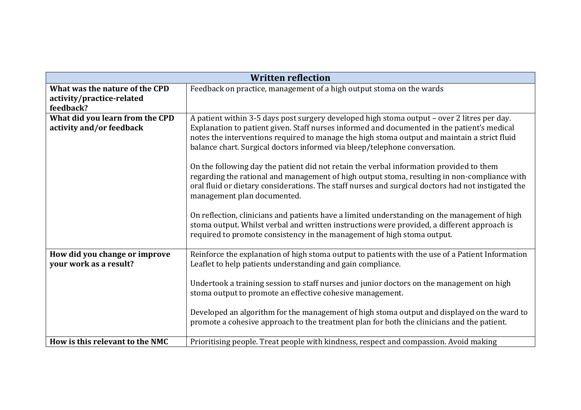| <b>Written reflection</b>                                                |                                                                                                                                                                                                                                                                                                                                                                                                                                                                                                                                                                                                                                                                                                                                                                                                                                                                                                                                                                                     |
|--------------------------------------------------------------------------|-------------------------------------------------------------------------------------------------------------------------------------------------------------------------------------------------------------------------------------------------------------------------------------------------------------------------------------------------------------------------------------------------------------------------------------------------------------------------------------------------------------------------------------------------------------------------------------------------------------------------------------------------------------------------------------------------------------------------------------------------------------------------------------------------------------------------------------------------------------------------------------------------------------------------------------------------------------------------------------|
| What was the nature of the CPD<br>activity/practice-related<br>feedback? | Feedback on practice, management of a high output stoma on the wards                                                                                                                                                                                                                                                                                                                                                                                                                                                                                                                                                                                                                                                                                                                                                                                                                                                                                                                |
| What did you learn from the CPD<br>activity and/or feedback              | A patient within 3-5 days post surgery developed high stoma output – over 2 litres per day.<br>Explanation to patient given. Staff nurses informed and documented in the patient's medical<br>notes the interventions required to manage the high stoma output and maintain a strict fluid<br>balance chart. Surgical doctors informed via bleep/telephone conversation.<br>On the following day the patient did not retain the verbal information provided to them<br>regarding the rational and management of high output stoma, resulting in non-compliance with<br>oral fluid or dietary considerations. The staff nurses and surgical doctors had not instigated the<br>management plan documented.<br>On reflection, clinicians and patients have a limited understanding on the management of high<br>stoma output. Whilst verbal and written instructions were provided, a different approach is<br>required to promote consistency in the management of high stoma output. |
| How did you change or improve<br>your work as a result?                  | Reinforce the explanation of high stoma output to patients with the use of a Patient Information<br>Leaflet to help patients understanding and gain compliance.<br>Undertook a training session to staff nurses and junior doctors on the management on high<br>stoma output to promote an effective cohesive management.<br>Developed an algorithm for the management of high stoma output and displayed on the ward to<br>promote a cohesive approach to the treatment plan for both the clinicians and the patient.                                                                                                                                                                                                                                                                                                                                                                                                                                                              |
| How is this relevant to the NMC                                          | Prioritising people. Treat people with kindness, respect and compassion. Avoid making                                                                                                                                                                                                                                                                                                                                                                                                                                                                                                                                                                                                                                                                                                                                                                                                                                                                                               |